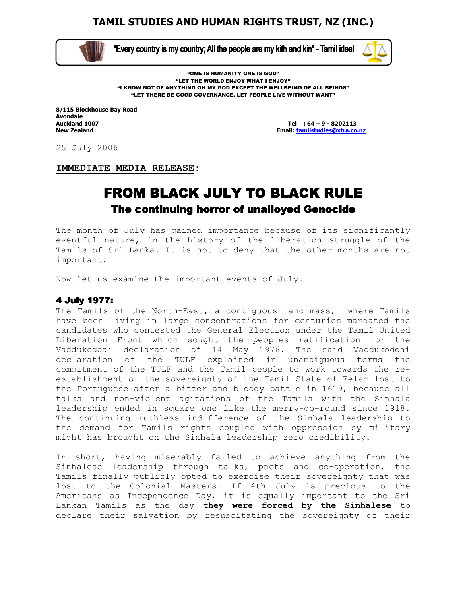

 $\overline{\phantom{0}}$ 

"Every country is my country; All the people are my kith and kin" - Tamil ideal



"ONE IS HUMANITY ONE IS GOD" "LET THE WORLD ENJOY WHAT I ENJOY" "I KNOW NOT OF ANYTHING OH MY GOD EXCEPT THE WELLBEING OF ALL BEINGS" "LET THERE BE GOOD GOVERNANCE. LET PEOPLE LIVE WITHOUT WANT"

8/115 Blockhouse Bay Road Avondale<br>Auckland 1007

Tel  $: 64 - 9 - 8202113$ New Zealand Email: tamilstudies@xtra.co.nz

25 July 2006

IMMEDIATE MEDIA RELEASE:

# FROM BLACK JULY TO BLACK RULE The continuing horror of unalloyed Genocide

The month of July has gained importance because of its significantly eventful nature, in the history of the liberation struggle of the Tamils of Sri Lanka. It is not to deny that the other months are not important.

Now let us examine the important events of July.

### 4 July 1977: 4 July 1977:

The Tamils of the North-East, a contiguous land mass, where Tamils have been living in large concentrations for centuries mandated the candidates who contested the General Election under the Tamil United Liberation Front which sought the peoples ratification for the Vaddukoddai declaration of 14 May 1976. The said Vaddukoddai declaration of the TULF explained in unambiguous terms the commitment of the TULF and the Tamil people to work towards the reestablishment of the sovereignty of the Tamil State of Eelam lost to the Portuguese after a bitter and bloody battle in 1619, because all talks and non-violent agitations of the Tamils with the Sinhala leadership ended in square one like the merry-go-round since 1918. The continuing ruthless indifference of the Sinhala leadership to the demand for Tamils rights coupled with oppression by military might has brought on the Sinhala leadership zero credibility.

In short, having miserably failed to achieve anything from the Sinhalese leadership through talks, pacts and co-operation, the Tamils finally publicly opted to exercise their sovereignty that was lost to the Colonial Masters. If 4th July is precious to the Americans as Independence Day, it is equally important to the Sri Lankan Tamils as the day they were forced by the Sinhalese to declare their salvation by resuscitating the sovereignty of their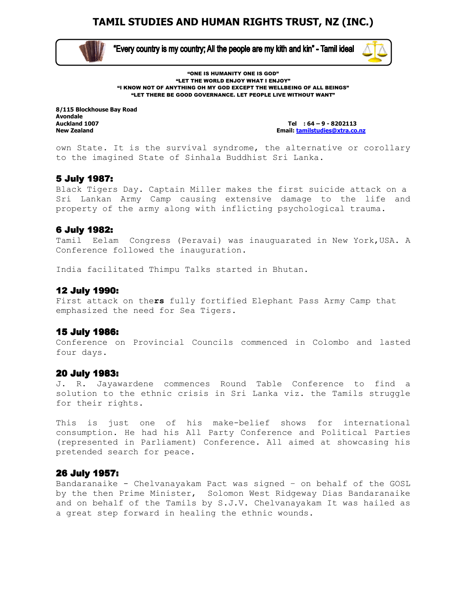

 $\overline{\phantom{0}}$ 

"Every country is my country; All the people are my kith and kin" - Tamil ideal



"ONE IS HUMANITY ONE IS GOD" "LET THE WORLD ENJOY WHAT I ENJOY" "I KNOW NOT OF ANYTHING OH MY GOD EXCEPT THE WELLBEING OF ALL BEINGS" "LET THERE BE GOOD GOVERNANCE. LET PEOPLE LIVE WITHOUT WANT"

8/115 Blockhouse Bay Road Avondale<br>Auckland 1007

Tel  $: 64 - 9 - 8202113$ New Zealand Email: tamilstudies@xtra.co.nz

own State. It is the survival syndrome, the alternative or corollary to the imagined State of Sinhala Buddhist Sri Lanka.

### 5 July 1987: 5 July 1987:

Black Tigers Day. Captain Miller makes the first suicide attack on a Sri Lankan Army Camp causing extensive damage to the life and property of the army along with inflicting psychological trauma.

### 6 July 1982: 6 July 1982:

Tamil Eelam Congress (Peravai) was inauguarated in New York, USA. A Conference followed the inauguration.

India facilitated Thimpu Talks started in Bhutan.

#### 12 July 1990:

First attack on thers fully fortified Elephant Pass Army Camp that emphasized the need for Sea Tigers.

### 15 July 1986: 15 1986:

Conference on Provincial Councils commenced in Colombo and lasted four days.

#### 20 July 1983:

J. R. Jayawardene commences Round Table Conference to find a solution to the ethnic crisis in Sri Lanka viz. the Tamils struggle for their rights.

This is just one of his make-belief shows for international consumption. He had his All Party Conference and Political Parties (represented in Parliament) Conference. All aimed at showcasing his pretended search for peace.

### 26 July 1957:

Bandaranaike - Chelvanayakam Pact was signed – on behalf of the GOSL by the then Prime Minister, Solomon West Ridgeway Dias Bandaranaike and on behalf of the Tamils by S.J.V. Chelvanayakam It was hailed as a great step forward in healing the ethnic wounds.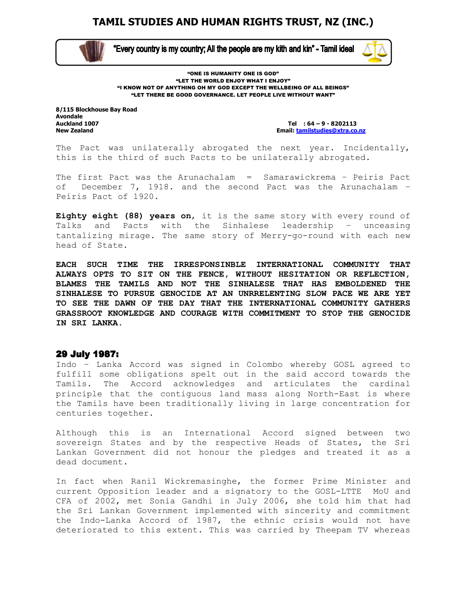

 $\overline{\phantom{0}}$ 

"Every country is my country; All the people are my kith and kin" - Tamil ideal



"ONE IS HUMANITY ONE IS GOD" "LET THE WORLD ENJOY WHAT I ENJOY" "I KNOW NOT OF ANYTHING OH MY GOD EXCEPT THE WELLBEING OF ALL BEINGS" "LET THERE BE GOOD GOVERNANCE. LET PEOPLE LIVE WITHOUT WANT"

8/115 Blockhouse Bay Road Avondale<br>Auckland 1007

Tel  $: 64 - 9 - 8202113$ New Zealand Email: tamilstudies@xtra.co.nz

The Pact was unilaterally abrogated the next year. Incidentally, this is the third of such Pacts to be unilaterally abrogated.

The first Pact was the Arunachalam = Samarawickrema – Peiris Pact of December 7, 1918. and the second Pact was the Arunachalam – Peiris Pact of 1920.

Eighty eight (88) years on, it is the same story with every round of Talks and Pacts with the Sinhalese leadership – unceasing tantalizing mirage. The same story of Merry-go-round with each new head of State.

EACH SUCH TIME THE IRRESPONSINBLE INTERNATIONAL COMMUNITY THAT ALWAYS OPTS TO SIT ON THE FENCE, WITHOUT HESITATION OR REFLECTION, BLAMES THE TAMILS AND NOT THE SINHALESE THAT HAS EMBOLDENED THE SINHALESE TO PURSUE GENOCIDE AT AN UNRRELENTING SLOW PACE WE ARE YET TO SEE THE DAWN OF THE DAY THAT THE INTERNATIONAL COMMUNITY GATHERS GRASSROOT KNOWLEDGE AND COURAGE WITH COMMITMENT TO STOP THE GENOCIDE IN SRI LANKA.

#### 29 July 1987:

Indo – Lanka Accord was signed in Colombo whereby GOSL agreed to fulfill some obligations spelt out in the said accord towards the Tamils. The Accord acknowledges and articulates the cardinal principle that the contiguous land mass along North-East is where the Tamils have been traditionally living in large concentration for centuries together.

Although this is an International Accord signed between two sovereign States and by the respective Heads of States, the Sri Lankan Government did not honour the pledges and treated it as a dead document.

In fact when Ranil Wickremasinghe, the former Prime Minister and current Opposition leader and a signatory to the GOSL-LTTE MoU and CFA of 2002, met Sonia Gandhi in July 2006, she told him that had the Sri Lankan Government implemented with sincerity and commitment the Indo-Lanka Accord of 1987, the ethnic crisis would not have deteriorated to this extent. This was carried by Theepam TV whereas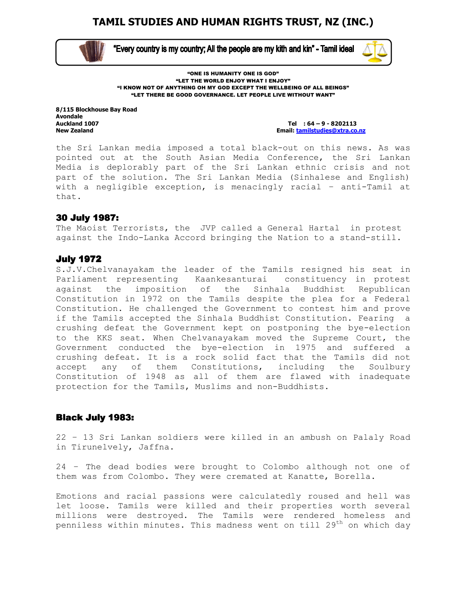

 $\overline{\phantom{0}}$ 

"Every country is my country; All the people are my kith and kin" - Tamil ideal



"ONE IS HUMANITY ONE IS GOD" "LET THE WORLD ENJOY WHAT I ENJOY" "I KNOW NOT OF ANYTHING OH MY GOD EXCEPT THE WELLBEING OF ALL BEINGS" "LET THERE BE GOOD GOVERNANCE. LET PEOPLE LIVE WITHOUT WANT"

8/115 Blockhouse Bay Road Avondale<br>Auckland 1007

Tel  $: 64 - 9 - 8202113$ New Zealand Email: tamilstudies@xtra.co.nz

the Sri Lankan media imposed a total black-out on this news. As was pointed out at the South Asian Media Conference, the Sri Lankan Media is deplorably part of the Sri Lankan ethnic crisis and not part of the solution. The Sri Lankan Media (Sinhalese and English) with a negligible exception, is menacingly racial – anti-Tamil at that.

### 30 July 1987:

The Maoist Terrorists, the JVP called a General Hartal in protest against the Indo-Lanka Accord bringing the Nation to a stand-still.

### **July 1972**

S.J.V.Chelvanayakam the leader of the Tamils resigned his seat in Parliament representing Kaankesanturai constituency in protest against the imposition of the Sinhala Buddhist Republican Constitution in 1972 on the Tamils despite the plea for a Federal Constitution. He challenged the Government to contest him and prove if the Tamils accepted the Sinhala Buddhist Constitution. Fearing a crushing defeat the Government kept on postponing the bye-election to the KKS seat. When Chelvanayakam moved the Supreme Court, the Government conducted the bye-election in 1975 and suffered a crushing defeat. It is a rock solid fact that the Tamils did not accept any of them Constitutions, including the Soulbury Constitution of 1948 as all of them are flawed with inadequate protection for the Tamils, Muslims and non-Buddhists.

### **Black July 1983:**

22 – 13 Sri Lankan soldiers were killed in an ambush on Palaly Road in Tirunelvely, Jaffna.

24 – The dead bodies were brought to Colombo although not one of them was from Colombo. They were cremated at Kanatte, Borella.

Emotions and racial passions were calculatedly roused and hell was let loose. Tamils were killed and their properties worth several millions were destroyed. The Tamils were rendered homeless and penniless within minutes. This madness went on till  $29<sup>th</sup>$  on which day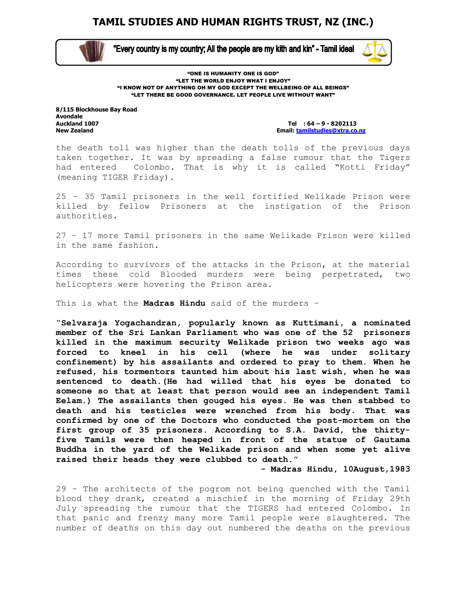

 $\overline{\phantom{0}}$ 

"Every country is my country; All the people are my kith and kin" - Tamil ideal



"ONE IS HUMANITY ONE IS GOD" "LET THE WORLD ENJOY WHAT I ENJOY" "I KNOW NOT OF ANYTHING OH MY GOD EXCEPT THE WELLBEING OF ALL BEINGS" "LET THERE BE GOOD GOVERNANCE. LET PEOPLE LIVE WITHOUT WANT"

8/115 Blockhouse Bay Road Avondale<br>Auckland 1007

Tel :  $64 - 9 - 8202113$ New Zealand Email: tamilstudies@xtra.co.nz

the death toll was higher than the death tolls of the previous days taken together. It was by spreading a false rumour that the Tigers had entered Colombo. That is why it is called "Kotti Friday" (meaning TIGER Friday).

25 – 35 Tamil prisoners in the well fortified Welikade Prison were killed by fellow Prisoners at the instigation of the Prison authorities.

27 – 17 more Tamil prisoners in the same Welikade Prison were killed in the same fashion.

According to survivors of the attacks in the Prison, at the material times these cold Blooded murders were being perpetrated, two helicopters were hovering the Prison area.

This is what the Madras Hindu said of the murders -

"Selvaraja Yogachandran, popularly known as Kuttimani, a nominated member of the Sri Lankan Parliament who was one of the 52 prisoners killed in the maximum security Welikade prison two weeks ago was forced to kneel in his cell (where he was under solitary confinement) by his assailants and ordered to pray to them. When he refused, his tormentors taunted him about his last wish, when he was sentenced to death.(He had willed that his eyes be donated to someone so that at least that person would see an independent Tamil Eelam.) The assailants then gouged his eyes. He was then stabbed to death and his testicles were wrenched from his body. That was confirmed by one of the Doctors who conducted the post-mortem on the first group of 35 prisoners. According to S.A. David, the thirtyfive Tamils were then heaped in front of the statue of Gautama Buddha in the yard of the Welikade prison and when some yet alive raised their heads they were clubbed to death."

- Madras Hindu, 10August,1983

29 – The architects of the pogrom not being quenched with the Tamil blood they drank, created a mischief in the morning of Friday 29th July spreading the rumour that the TIGERS had entered Colombo. In that panic and frenzy many more Tamil people were slaughtered. The number of deaths on this day out numbered the deaths on the previous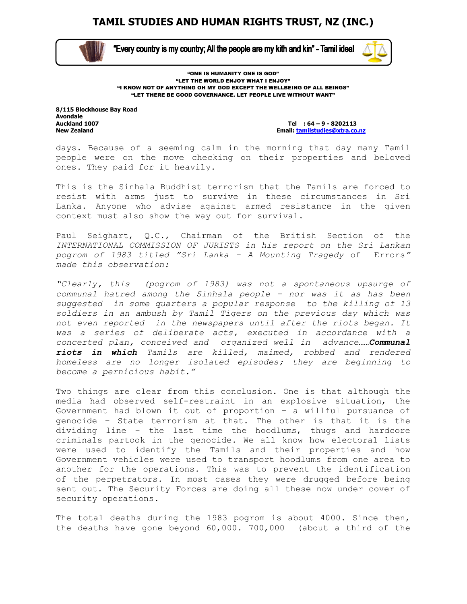

 $\overline{\phantom{0}}$ 

"Every country is my country; All the people are my kith and kin" - Tamil ideal



"ONE IS HUMANITY ONE IS GOD" "LET THE WORLD ENJOY WHAT I ENJOY" "I KNOW NOT OF ANYTHING OH MY GOD EXCEPT THE WELLBEING OF ALL BEINGS" "LET THERE BE GOOD GOVERNANCE. LET PEOPLE LIVE WITHOUT WANT"

8/115 Blockhouse Bay Road Avondale<br>Auckland 1007

Tel :  $64 - 9 - 8202113$ New Zealand Email: tamilstudies@xtra.co.nz

days. Because of a seeming calm in the morning that day many Tamil people were on the move checking on their properties and beloved ones. They paid for it heavily.

This is the Sinhala Buddhist terrorism that the Tamils are forced to resist with arms just to survive in these circumstances in Sri Lanka. Anyone who advise against armed resistance in the given context must also show the way out for survival.

Paul Seighart, Q.C., Chairman of the British Section of the INTERNATIONAL COMMISSION OF JURISTS in his report on the Sri Lankan pogrom of 1983 titled "Sri Lanka – A Mounting Tragedy of Errors" made this observation:

"Clearly, this (pogrom of 1983) was not a spontaneous upsurge of communal hatred among the Sinhala people – nor was it as has been suggested in some quarters a popular response to the killing of 13 soldiers in an ambush by Tamil Tigers on the previous day which was not even reported in the newspapers until after the riots began. It was a series of deliberate acts, executed in accordance with a concerted plan, conceived and organized well in advance...... Communal riots in which Tamils are killed, maimed, robbed and rendered homeless are no longer isolated episodes; they are beginning to become a pernicious habit."

Two things are clear from this conclusion. One is that although the media had observed self-restraint in an explosive situation, the Government had blown it out of proportion – a willful pursuance of genocide – State terrorism at that. The other is that it is the dividing line – the last time the hoodlums, thugs and hardcore criminals partook in the genocide. We all know how electoral lists were used to identify the Tamils and their properties and how Government vehicles were used to transport hoodlums from one area to another for the operations. This was to prevent the identification of the perpetrators. In most cases they were drugged before being sent out. The Security Forces are doing all these now under cover of security operations.

The total deaths during the 1983 pogrom is about 4000. Since then, the deaths have gone beyond 60,000. 700,000 (about a third of the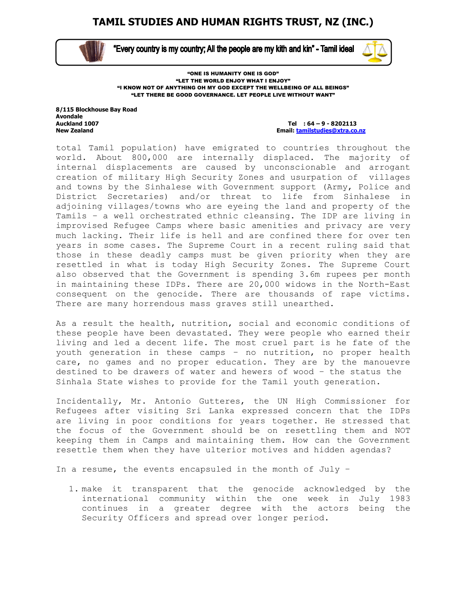

 $\overline{\phantom{0}}$ 

"Every country is my country; All the people are my kith and kin" - Tamil ideal



"ONE IS HUMANITY ONE IS GOD" "LET THE WORLD ENJOY WHAT I ENJOY" "I KNOW NOT OF ANYTHING OH MY GOD EXCEPT THE WELLBEING OF ALL BEINGS" "LET THERE BE GOOD GOVERNANCE. LET PEOPLE LIVE WITHOUT WANT"

8/115 Blockhouse Bay Road Avondale<br>Auckland 1007

Tel :  $64 - 9 - 8202113$ New Zealand Email: tamilstudies@xtra.co.nz

total Tamil population) have emigrated to countries throughout the world. About 800,000 are internally displaced. The majority of internal displacements are caused by unconscionable and arrogant creation of military High Security Zones and usurpation of villages and towns by the Sinhalese with Government support (Army, Police and District Secretaries) and/or threat to life from Sinhalese in adjoining villages/towns who are eyeing the land and property of the Tamils – a well orchestrated ethnic cleansing. The IDP are living in improvised Refugee Camps where basic amenities and privacy are very much lacking. Their life is hell and are confined there for over ten years in some cases. The Supreme Court in a recent ruling said that those in these deadly camps must be given priority when they are resettled in what is today High Security Zones. The Supreme Court also observed that the Government is spending 3.6m rupees per month in maintaining these IDPs. There are 20,000 widows in the North-East consequent on the genocide. There are thousands of rape victims. There are many horrendous mass graves still unearthed.

As a result the health, nutrition, social and economic conditions of these people have been devastated. They were people who earned their living and led a decent life. The most cruel part is he fate of the youth generation in these camps – no nutrition, no proper health care, no games and no proper education. They are by the manouevre destined to be drawers of water and hewers of wood – the status the Sinhala State wishes to provide for the Tamil youth generation.

Incidentally, Mr. Antonio Gutteres, the UN High Commissioner for Refugees after visiting Sri Lanka expressed concern that the IDPs are living in poor conditions for years together. He stressed that the focus of the Government should be on resettling them and NOT keeping them in Camps and maintaining them. How can the Government resettle them when they have ulterior motives and hidden agendas?

In a resume, the events encapsuled in the month of July –

1. make it transparent that the genocide acknowledged by the international community within the one week in July 1983 continues in a greater degree with the actors being the Security Officers and spread over longer period.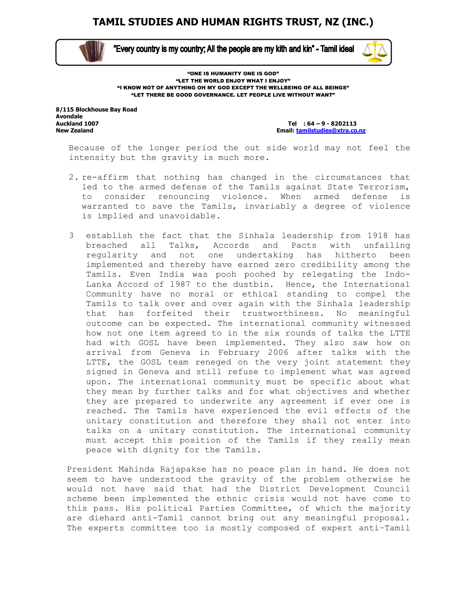

 $\overline{\phantom{0}}$ 

"Every country is my country; All the people are my kith and kin" - Tamil ideal



"ONE IS HUMANITY ONE IS GOD" "LET THE WORLD ENJOY WHAT I ENJOY" "I KNOW NOT OF ANYTHING OH MY GOD EXCEPT THE WELLBEING OF ALL BEINGS" "LET THERE BE GOOD GOVERNANCE. LET PEOPLE LIVE WITHOUT WANT"

8/115 Blockhouse Bay Road Avondale<br>Auckland 1007

Tel  $: 64 - 9 - 8202113$ New Zealand Email: tamilstudies@xtra.co.nz

Because of the longer period the out side world may not feel the intensity but the gravity is much more.

- 2. re-affirm that nothing has changed in the circumstances that led to the armed defense of the Tamils against State Terrorism, to consider renouncing violence. When armed defense is warranted to save the Tamils, invariably a degree of violence is implied and unavoidable.
- 3 establish the fact that the Sinhala leadership from 1918 has breached all Talks, Accords and Pacts with unfailing regularity and not one undertaking has hitherto been implemented and thereby have earned zero credibility among the Tamils. Even India was pooh poohed by relegating the Indo-Lanka Accord of 1987 to the dustbin. Hence, the International Community have no moral or ethical standing to compel the Tamils to talk over and over again with the Sinhala leadership that has forfeited their trustworthiness. No meaningful outcome can be expected. The international community witnessed how not one item agreed to in the six rounds of talks the LTTE had with GOSL have been implemented. They also saw how on arrival from Geneva in February 2006 after talks with the LTTE, the GOSL team reneged on the very joint statement they signed in Geneva and still refuse to implement what was agreed upon. The international community must be specific about what they mean by further talks and for what objectives and whether they are prepared to underwrite any agreement if ever one is reached. The Tamils have experienced the evil effects of the unitary constitution and therefore they shall not enter into talks on a unitary constitution. The international community must accept this position of the Tamils if they really mean peace with dignity for the Tamils.

President Mahinda Rajapakse has no peace plan in hand. He does not seem to have understood the gravity of the problem otherwise he would not have said that had the District Development Council scheme been implemented the ethnic crisis would not have come to this pass. His political Parties Committee, of which the majority are diehard anti-Tamil cannot bring out any meaningful proposal. The experts committee too is mostly composed of expert anti–Tamil